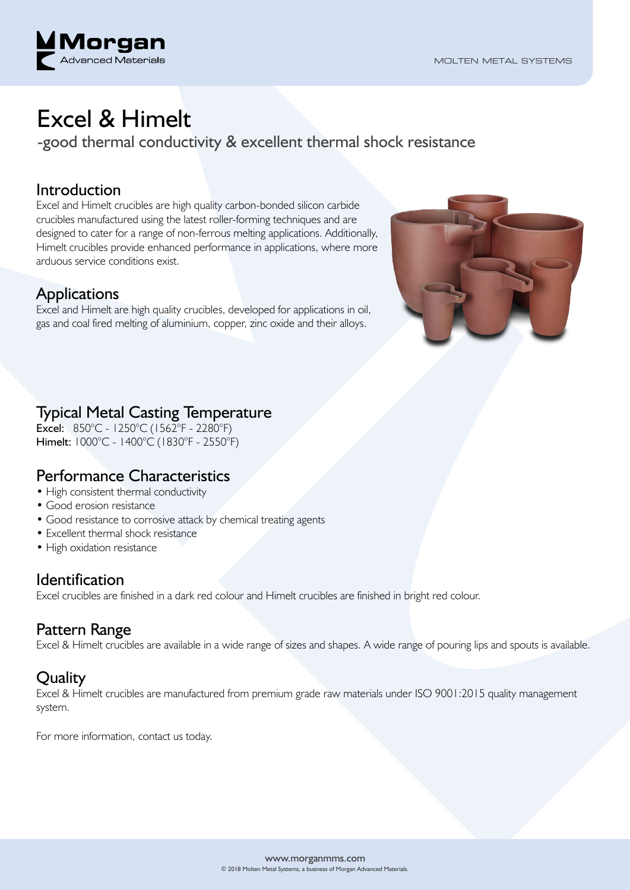

# Excel & Himelt

-good thermal conductivity & excellent thermal shock resistance

#### Introduction

Excel and Himelt crucibles are high quality carbon-bonded silicon carbide crucibles manufactured using the latest roller-forming techniques and are designed to cater for a range of non-ferrous melting applications. Additionally, Himelt crucibles provide enhanced performance in applications, where more arduous service conditions exist.

## **Applications**

Excel and Himelt are high quality crucibles, developed for applications in oil, gas and coal fired melting of aluminium, copper, zinc oxide and their alloys.



## Typical Metal Casting Temperature

Excel: 850°C - 1250°C (1562°F - 2280°F) Himelt: 1000°C - 1400°C (1830°F - 2550°F)

## Performance Characteristics

- High consistent thermal conductivity
- Good erosion resistance
- Good resistance to corrosive attack by chemical treating agents
- Excellent thermal shock resistance
- High oxidation resistance

#### **Identification**

Excel crucibles are finished in a dark red colour and Himelt crucibles are finished in bright red colour.

#### Pattern Range

Excel & Himelt crucibles are available in a wide range of sizes and shapes. A wide range of pouring lips and spouts is available.

## **Ouality**

Excel & Himelt crucibles are manufactured from premium grade raw materials under ISO 9001:2015 quality management system.

For more information, contact us today.